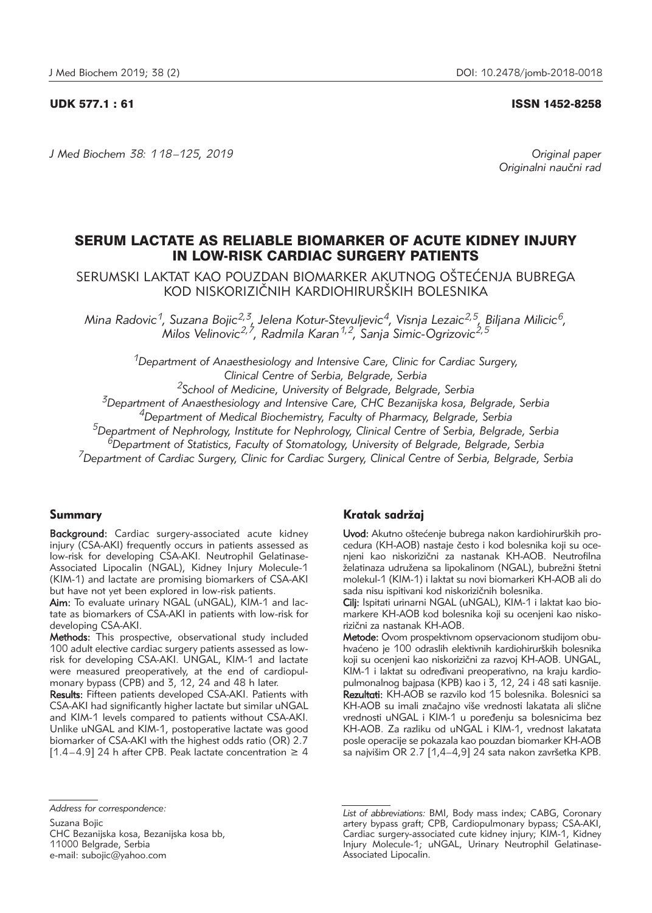## UDK 577.1 : 61 ISSN 1452-8258

*J Med Biochem 38: 118 –125, 2019 Original paper*

Originalni naučni rad

# SERUM LACTATE AS RELIABLE BIOMARKER OF ACUTE KIDNEY INJURY IN LOW-RISK CARDIAC SURGERY PATIENTS

SERUMSKI LAKTAT KAO POUZDAN BIOMARKER AKUTNOG OŠTEĆENJA BUBREGA KOD NISKORIZIČNIH KARDIOHIRURŠKIH BOLESNIKA

*Mina Radovic1, Suzana Bojic2,3, Jelena Kotur-Stevuljevic4, Visnja Lezaic2,5, Biljana Milicic6, Milos Velinovic2,7, Radmila Karan1,2, Sanja Simic-Ogrizovic2,5*

*1Department of Anaesthesiology and Intensive Care, Clinic for Cardiac Surgery, Clinical Centre of Serbia, Belgrade, Serbia 2School of Medicine, University of Belgrade, Belgrade, Serbia*

*3Department of Anaesthesiology and Intensive Care, CHC Bezanijska kosa, Belgrade, Serbia*

*4Department of Medical Biochemistry, Faculty of Pharmacy, Belgrade, Serbia*

*5Department of Nephrology, Institute for Nephrology, Clinical Centre of Serbia, Belgrade, Serbia*

*6Department of Statistics, Faculty of Stomatology, University of Belgrade, Belgrade, Serbia*

*7Department of Cardiac Surgery, Clinic for Cardiac Surgery, Clinical Centre of Serbia, Belgrade, Serbia*

# Summary

Background: Cardiac surgery-associated acute kidney injury (CSA-AKI) frequently occurs in patients assessed as low-risk for developing CSA-AKI. Neutrophil Gelatinase-Associated Lipocalin (NGAL), Kidney Injury Molecule-1 (KIM-1) and lactate are promising biomarkers of CSA-AKI but have not yet been explored in low-risk patients.

Aim: To evaluate urinary NGAL (uNGAL), KIM-1 and lactate as biomarkers of CSA-AKI in patients with low-risk for developing CSA-AKI.

Methods: This prospective, observational study included 100 adult elective cardiac surgery patients assessed as lowrisk for developing CSA-AKI. UNGAL, KIM-1 and lactate were measured preoperatively, at the end of cardiopulmonary bypass  $(CPB)$  and 3, 12, 24 and 48 h later.

Results: Fifteen patients developed CSA-AKI. Patients with CSA-AKI had significantly higher lactate but similar uNGAL and KIM-1 levels compared to patients without CSA-AKI. Unlike uNGAL and KIM-1, postoperative lactate was good biomarker of CSA-AKI with the highest odds ratio (OR) 2.7 [1.4–4.9] 24 h after CPB. Peak lactate concentration  $\geq 4$ 

# Kratak sadržai

Uvod: Akutno oštećenje bubrega nakon kardiohirurških procedura (KH-AOB) nastaje često i kod bolesnika koji su ocenjeni kao niskorizični za nastanak KH-AOB. Neutrofilna želatinaza udružena sa lipokalinom (NGAL), bubrežni štetni molekul-1 (KIM-1) i laktat su novi biomarkeri KH-AOB ali do sada nisu ispitivani kod niskorizičnih bolesnika.

Cilj: Ispitati urinarni NGAL (uNGAL), KIM-1 i laktat kao biomarkere KH-AOB kod bolesnika koji su ocenjeni kao niskorizični za nastanak KH-AOB.

Metode: Ovom prospektivnom opservacionom studijom obuhvaćeno je 100 odraslih elektivnih kardiohirurških bolesnika koji su ocenjeni kao niskorizični za razvoj KH-AOB. UNGAL, KIM-1 i laktat su određivani preoperativno, na kraju kardiopulmonalnog bajpasa (KPB) kao i 3, 12, 24 i 48 sati kasnije. Rezultati: KH-AOB se razvilo kod 15 bolesnika. Bolesnici sa KH-AOB su imali značajno više vrednosti lakatata ali slične vrednosti uNGAL i KIM-1 u poređenju sa bolesnicima bez KH-AOB. Za razliku od uNGAL i KIM-1, vrednost lakatata posle operacije se pokazala kao pouzdan biomarker KH-AOB sa najvišim OR 2.7 [1,4-4,9] 24 sata nakon završetka KPB.

*Address for correspondence:*

Suzana Bojic CHC Bezanijska kosa, Bezanijska kosa bb, 11000 Belgrade, Serbia e-mail: subojic@yahoo.com

*List of abbreviations:* BMI, Body mass index; CABG, Coronary artery bypass graft; CPB, Cardiopulmonary bypass; CSA-AKI, Cardiac surgery-associated cute kidney injury; KIM-1, Kidney Injury Molecule-1; uNGAL, Urinary Neutrophil Gelatinase-Associated Lipocalin.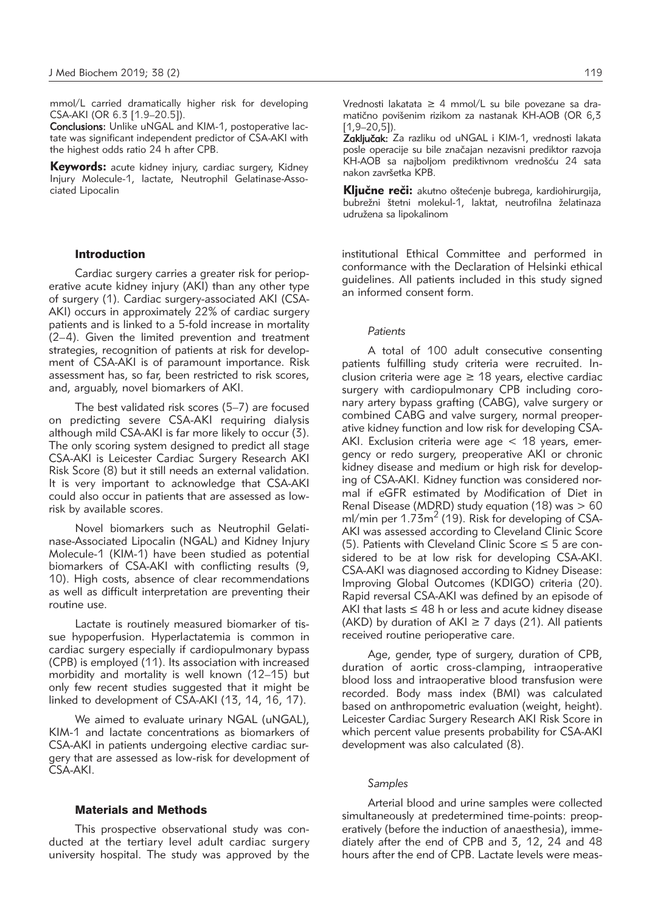mmol/L carried dramatically higher risk for developing CSA-AKI (OR 6.3 [1.9–20.5]).

Conclusions: Unlike uNGAL and KIM-1, postoperative lactate was significant independent predictor of CSA-AKI with the highest odds ratio 24 h after CPB.

**Keywords:** acute kidney injury, cardiac surgery, Kidney Injury Molecule-1, lactate, Neutrophil Gelatinase-Associated Lipocalin

# Introduction

Cardiac surgery carries a greater risk for perioperative acute kidney injury (AKI) than any other type of surgery (1). Cardiac surgery-associated AKI (CSA-AKI) occurs in approximately 22% of cardiac surgery patients and is linked to a 5-fold increase in mortality (2–4). Given the limited prevention and treatment strategies, recognition of patients at risk for development of CSA-AKI is of paramount importance. Risk assessment has, so far, been restricted to risk scores, and, arguably, novel biomarkers of AKI.

The best validated risk scores (5–7) are focused on predicting severe CSA-AKI requiring dialysis although mild CSA-AKI is far more likely to occur (3). The only scoring system designed to predict all stage CSA-AKI is Leicester Cardiac Surgery Research AKI Risk Score (8) but it still needs an external validation. It is very important to acknowledge that CSA-AKI could also occur in patients that are assessed as lowrisk by available scores.

Novel biomarkers such as Neutrophil Gelatinase-Associated Lipocalin (NGAL) and Kidney Injury Molecule-1 (KIM-1) have been studied as potential biomarkers of CSA-AKI with conflicting results (9, 10). High costs, absence of clear recommendations as well as difficult interpretation are preventing their routine use.

Lactate is routinely measured biomarker of tissue hypoperfusion. Hyperlactatemia is common in cardiac surgery especially if cardiopulmonary bypass (CPB) is employed (11). Its association with increased morbidity and mortality is well known (12–15) but only few recent studies suggested that it might be linked to development of CSA-AKI (13, 14, 16, 17).

We aimed to evaluate urinary NGAL (uNGAL), KIM-1 and lactate concentrations as biomarkers of CSA-AKI in patients undergoing elective cardiac surgery that are assessed as low-risk for development of CSA-AKI.

## Materials and Methods

This prospective observational study was conducted at the tertiary level adult cardiac surgery university hospital. The study was approved by the Vrednosti lakatata ≥ 4 mmol/L su bile povezane sa dramatično povišenim rizikom za nastanak KH-AOB (OR 6,3 [1,9–20,5]).

Zaključak: Za razliku od uNGAL i KIM-1, vrednosti lakata posle operacije su bile značajan nezavisni prediktor razvoja KH-AOB sa najboljom prediktivnom vrednošću 24 sata nakon završetka KPB.

Kliučne reči: akutno oštećenie bubrega, kardiohirurgija, bubrežni štetni molekul-1, laktat, neutrofilna želatinaza udružena sa lipokalinom

institutional Ethical Committee and performed in conformance with the Declaration of Helsinki ethical guidelines. All patients included in this study signed an informed consent form.

## *Patients*

A total of 100 adult consecutive consenting patients fulfilling study criteria were recruited. Inclusion criteria were age  $\geq$  18 years, elective cardiac surgery with cardiopulmonary CPB including coronary artery bypass grafting (CABG), valve surgery or combined CABG and valve surgery, normal preoperative kidney function and low risk for developing CSA-AKI. Exclusion criteria were age < 18 years, emergency or redo surgery, preoperative AKI or chronic kidney disease and medium or high risk for developing of CSA-AKI. Kidney function was considered normal if eGFR estimated by Modification of Diet in Renal Disease (MDRD) study equation (18) was  $> 60$ ml/min per 1.73m<sup>2</sup> (19). Risk for developing of CSA-AKI was assessed according to Cleveland Clinic Score (5). Patients with Cleveland Clinic Score  $\leq$  5 are considered to be at low risk for developing CSA-AKI. CSA-AKI was diagnosed according to Kidney Disease: Improving Global Outcomes (KDIGO) criteria (20). Rapid reversal CSA-AKI was defined by an episode of AKI that lasts  $\leq 48$  h or less and acute kidney disease (AKD) by duration of AKI  $\geq$  7 days (21). All patients received routine perioperative care.

Age, gender, type of surgery, duration of CPB, duration of aortic cross-clamping, intraoperative blood loss and intraoperative blood transfusion were recorded. Body mass index (BMI) was calculated based on anthropometric evaluation (weight, height). Leicester Cardiac Surgery Research AKI Risk Score in which percent value presents probability for CSA-AKI development was also calculated (8).

# *Samples*

Arterial blood and urine samples were collected simultaneously at predetermined time-points: preoperatively (before the induction of anaesthesia), immediately after the end of CPB and 3, 12, 24 and 48 hours after the end of CPB. Lactate levels were meas-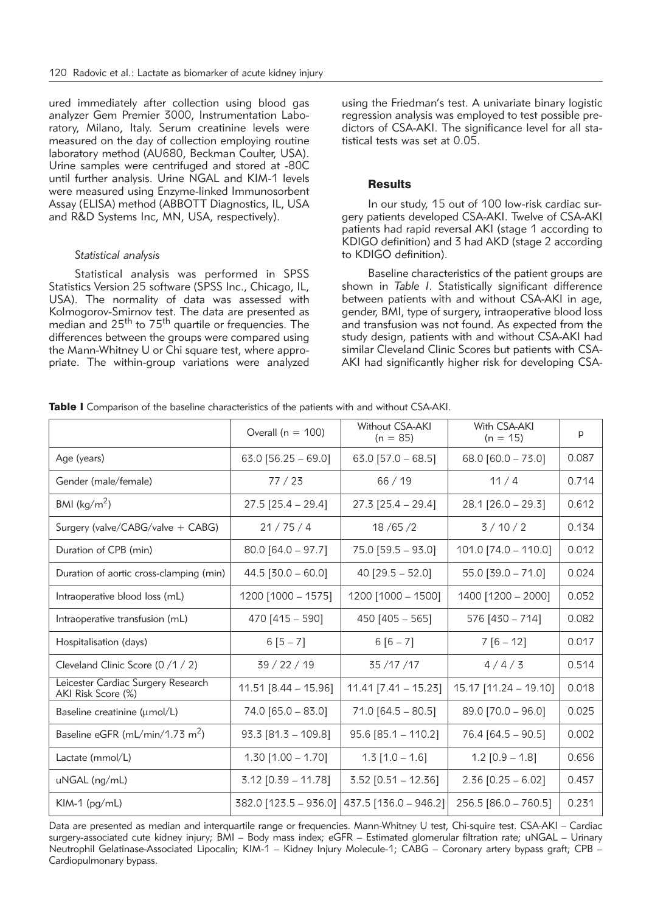ured immediately after collection using blood gas analyzer Gem Premier 3000, Instrumentation Laboratory, Milano, Italy. Serum creatinine levels were measured on the day of collection employing routine laboratory method (AU680, Beckman Coulter, USA). Urine samples were centrifuged and stored at -80C until further analysis. Urine NGAL and KIM-1 levels were measured using Enzyme-linked Immunosorbent Assay (ELISA) method (ABBOTT Diagnostics, IL, USA and R&D Systems Inc, MN, USA, respectively).

## *Statistical analysis*

Statistical analysis was performed in SPSS Statistics Version 25 software (SPSS Inc., Chicago, IL, USA). The normality of data was assessed with Kolmogorov-Smirnov test. The data are presented as median and 25<sup>th</sup> to 75<sup>th</sup> quartile or frequencies. The differences between the groups were compared using the Mann-Whitney U or Chi square test, where appropriate. The within-group variations were analyzed using the Friedman's test. A univariate binary logistic regression analysis was employed to test possible predictors of CSA-AKI. The significance level for all statistical tests was set at 0.05.

## Results

In our study, 15 out of 100 low-risk cardiac surgery patients developed CSA-AKI. Twelve of CSA-AKI patients had rapid reversal AKI (stage 1 according to KDIGO definition) and 3 had AKD (stage 2 according to KDIGO definition).

Baseline characteristics of the patient groups are shown in *Table I*. Statistically significant difference between patients with and without CSA-AKI in age, gender, BMI, type of surgery, intraoperative blood loss and transfusion was not found. As expected from the study design, patients with and without CSA-AKI had similar Cleveland Clinic Scores but patients with CSA-AKI had significantly higher risk for developing CSA-

Table I Comparison of the baseline characteristics of the patients with and without CSA-AKI.

|                                                          | Overall ( $n = 100$ )   | Without CSA-AKI<br>$(n = 85)$ | With CSA-AKI<br>$(n = 15)$ | p     |
|----------------------------------------------------------|-------------------------|-------------------------------|----------------------------|-------|
| Age (years)                                              | 63.0 $[56.25 - 69.0]$   | 63.0 $[57.0 - 68.5]$          | 68.0 $[60.0 - 73.0]$       | 0.087 |
| Gender (male/female)                                     | 77/23                   | 66/19                         | 11/4                       | 0.714 |
| BMI ( $\text{kg/m}^2$ )                                  | $27.5$ [25.4 - 29.4]    | $27.3$ [25.4 - 29.4]          | $28.1$ [26.0 - 29.3]       | 0.612 |
| Surgery (valve/CABG/valve + CABG)                        | 21/75/4                 | 18/65/2                       | 3/10/2                     | 0.134 |
| Duration of CPB (min)                                    | $80.0$ [64.0 - 97.7]    | $75.0$ [59.5 - 93.0]          | $101.0$ [74.0 - 110.0]     | 0.012 |
| Duration of aortic cross-clamping (min)                  | $44.5$ [30.0 - 60.0]    | 40 $[29.5 - 52.0]$            | $55.0$ [39.0 - 71.0]       | 0.024 |
| Intraoperative blood loss (mL)                           | 1200 [1000 - 1575]      | 1200 [1000 - 1500]            | 1400 [1200 - 2000]         | 0.052 |
| Intraoperative transfusion (mL)                          | 470 [415 - 590]         | 450 $[405 - 565]$             | $576$ [430 - 714]          | 0.082 |
| Hospitalisation (days)                                   | $6[5 - 7]$              | $6[6 - 7]$                    | $7 [6 - 12]$               | 0.017 |
| Cleveland Clinic Score (0 /1 / 2)                        | 39 / 22 / 19            | 35 / 17 / 17                  | 4/4/3                      | 0.514 |
| Leicester Cardiac Surgery Research<br>AKI Risk Score (%) | $11.51$ [8.44 - 15.96]  | $11.41$ [7.41 – 15.23]        | $15.17$ [11.24 - 19.10]    | 0.018 |
| Baseline creatinine (umol/L)                             | $74.0$ [65.0 - 83.0]    | $71.0$ [64.5 - 80.5]          | $89.0$ [70.0 - 96.0]       | 0.025 |
| Baseline eGFR (mL/min/1.73 m <sup>2</sup> )              | $93.3$ [81.3 - 109.8]   | $95.6$ [85.1 - 110.2]         | $76.4$ [64.5 - 90.5]       | 0.002 |
| Lactate (mmol/L)                                         | $1.30$ [1.00 - 1.70]    | $1.3$ [1.0 - 1.6]             | $1.2$ [0.9 - 1.8]          | 0.656 |
| uNGAL (ng/mL)                                            | $3.12$ [0.39 - 11.78]   | $3.52$ [0.51 - 12.36]         | $2.36$ [0.25 - 6.02]       | 0.457 |
| KIM-1 $(pg/mL)$                                          | $382.0$ [123.5 - 936.0] | $437.5$ [136.0 - 946.2]       | $256.5$ [86.0 - 760.5]     | 0.231 |

Data are presented as median and interquartile range or frequencies. Mann-Whitney U test, Chi-squire test. CSA-AKI – Cardiac surgery-associated cute kidney injury; BMI – Body mass index; eGFR – Estimated glomerular filtration rate; uNGAL – Urinary Neutrophil Gelatinase-Associated Lipocalin; KIM-1 – Kidney Injury Molecule-1; CABG – Coronary artery bypass graft; CPB – Cardiopulmonary bypass.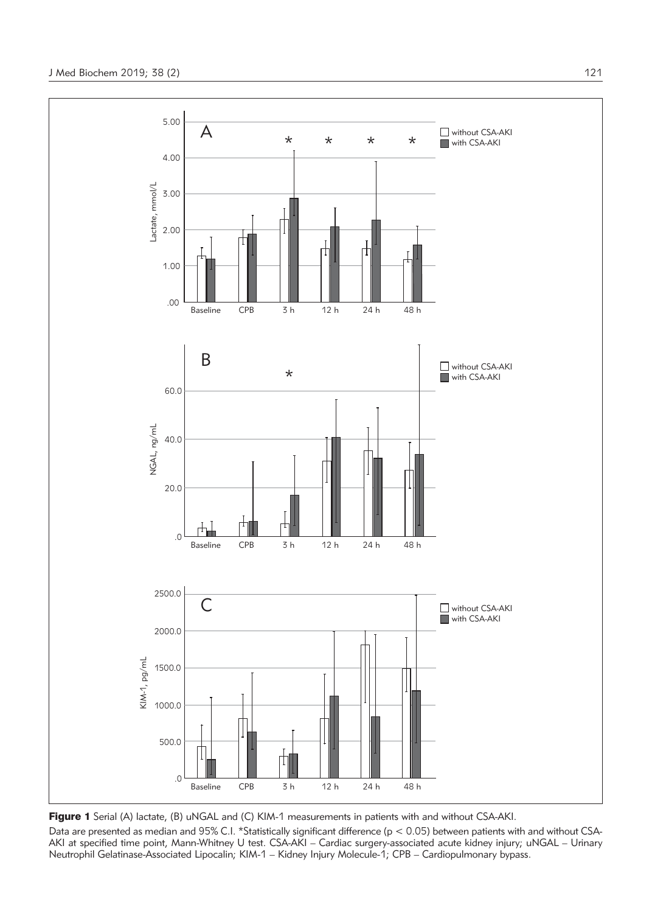

Figure 1 Serial (A) lactate, (B) uNGAL and (C) KIM-1 measurements in patients with and without CSA-AKI. Data are presented as median and 95% C.I. \*Statistically significant difference (p < 0.05) between patients with and without CSA-AKI at specified time point, Mann-Whitney U test. CSA-AKI – Cardiac surgery-associated acute kidney injury; uNGAL – Urinary Neutrophil Gelatinase-Associated Lipocalin; KIM-1 – Kidney Injury Molecule-1; CPB – Cardiopulmonary bypass.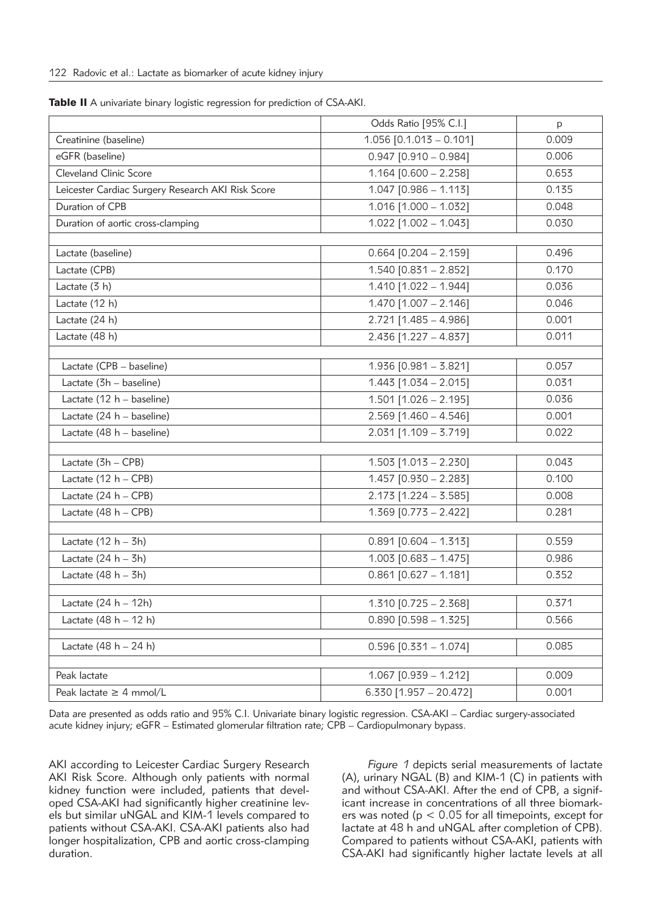| $1.056$ [0.1.013 - 0.101]<br>0.009<br>Creatinine (baseline)<br>eGFR (baseline)<br>$0.947$ [0.910 - 0.984]<br>0.006<br>Cleveland Clinic Score<br>$1.164$ [0.600 - 2.258]<br>0.653<br>$1.047$ [0.986 - 1.113]<br>Leicester Cardiac Surgery Research AKI Risk Score<br>0.135<br>Duration of CPB<br>$1.016$ [1.000 - 1.032]<br>0.048<br>$1.022$ [1.002 - 1.043]<br>Duration of aortic cross-clamping<br>0.030<br>Lactate (baseline)<br>$0.664$ [0.204 - 2.159]<br>0.496<br>Lactate (CPB)<br>$1.540$ [0.831 - 2.852]<br>0.170<br>1.410 [1.022 - 1.944]<br>Lactate (3 h)<br>0.036<br>Lactate (12 h)<br>$1.470$ [1.007 - 2.146]<br>0.046<br>Lactate (24 h)<br>$2.721$ [1.485 - 4.986]<br>0.001<br>$2.436$ [1.227 - 4.837]<br>Lactate (48 h)<br>0.011<br>Lactate (CPB - baseline)<br>$1.936$ [0.981 - 3.821]<br>0.057<br>Lactate (3h - baseline)<br>$1.443$ [1.034 - 2.015]<br>0.031<br>Lactate (12 h - baseline)<br>$1.501$ [1.026 - 2.195]<br>0.036<br>Lactate (24 h - baseline)<br>$2.569$ [1.460 - 4.546]<br>0.001<br>$2.031$ [1.109 - 3.719]<br>Lactate (48 h - baseline)<br>0.022<br>Lactate (3h - CPB)<br>$1.503$ [1.013 - 2.230]<br>0.043<br>Lactate $(12 h - CPB)$<br>$1.457$ [0.930 - 2.283]<br>0.100<br>$2.173$ [1.224 - 3.585]<br>Lactate $(24 h - CPB)$<br>0.008<br>Lactate (48 h - CPB)<br>$1.369$ [0.773 - 2.422]<br>0.281<br>Lactate $(12 h - 3h)$<br>$0.891$ [0.604 - 1.313]<br>0.559<br>$1.003$ [0.683 - 1.475]<br>Lactate $(24 h - 3h)$<br>0.986<br>Lactate $(48 h - 3h)$<br>$0.861$ [0.627 - 1.181]<br>0.352<br>Lactate $(24 h - 12h)$<br>$1.310$ [0.725 - 2.368]<br>0.371<br>Lactate $(48 h - 12 h)$<br>$0.890$ [0.598 - 1.325]<br>0.566<br>Lactate $(48 h - 24 h)$<br>$0.596$ [0.331 - 1.074]<br>0.085<br>$1.067$ [0.939 - 1.212]<br>0.009<br>Peak lactate<br>$6.330$ [1.957 - 20.472]<br>Peak lactate $\geq 4$ mmol/L<br>0.001 | Odds Ratio [95% C.I.] | p |
|-----------------------------------------------------------------------------------------------------------------------------------------------------------------------------------------------------------------------------------------------------------------------------------------------------------------------------------------------------------------------------------------------------------------------------------------------------------------------------------------------------------------------------------------------------------------------------------------------------------------------------------------------------------------------------------------------------------------------------------------------------------------------------------------------------------------------------------------------------------------------------------------------------------------------------------------------------------------------------------------------------------------------------------------------------------------------------------------------------------------------------------------------------------------------------------------------------------------------------------------------------------------------------------------------------------------------------------------------------------------------------------------------------------------------------------------------------------------------------------------------------------------------------------------------------------------------------------------------------------------------------------------------------------------------------------------------------------------------------------------------------------------------------------------------------------------------------------------------|-----------------------|---|
|                                                                                                                                                                                                                                                                                                                                                                                                                                                                                                                                                                                                                                                                                                                                                                                                                                                                                                                                                                                                                                                                                                                                                                                                                                                                                                                                                                                                                                                                                                                                                                                                                                                                                                                                                                                                                                               |                       |   |
|                                                                                                                                                                                                                                                                                                                                                                                                                                                                                                                                                                                                                                                                                                                                                                                                                                                                                                                                                                                                                                                                                                                                                                                                                                                                                                                                                                                                                                                                                                                                                                                                                                                                                                                                                                                                                                               |                       |   |
|                                                                                                                                                                                                                                                                                                                                                                                                                                                                                                                                                                                                                                                                                                                                                                                                                                                                                                                                                                                                                                                                                                                                                                                                                                                                                                                                                                                                                                                                                                                                                                                                                                                                                                                                                                                                                                               |                       |   |
|                                                                                                                                                                                                                                                                                                                                                                                                                                                                                                                                                                                                                                                                                                                                                                                                                                                                                                                                                                                                                                                                                                                                                                                                                                                                                                                                                                                                                                                                                                                                                                                                                                                                                                                                                                                                                                               |                       |   |
|                                                                                                                                                                                                                                                                                                                                                                                                                                                                                                                                                                                                                                                                                                                                                                                                                                                                                                                                                                                                                                                                                                                                                                                                                                                                                                                                                                                                                                                                                                                                                                                                                                                                                                                                                                                                                                               |                       |   |
|                                                                                                                                                                                                                                                                                                                                                                                                                                                                                                                                                                                                                                                                                                                                                                                                                                                                                                                                                                                                                                                                                                                                                                                                                                                                                                                                                                                                                                                                                                                                                                                                                                                                                                                                                                                                                                               |                       |   |
|                                                                                                                                                                                                                                                                                                                                                                                                                                                                                                                                                                                                                                                                                                                                                                                                                                                                                                                                                                                                                                                                                                                                                                                                                                                                                                                                                                                                                                                                                                                                                                                                                                                                                                                                                                                                                                               |                       |   |
|                                                                                                                                                                                                                                                                                                                                                                                                                                                                                                                                                                                                                                                                                                                                                                                                                                                                                                                                                                                                                                                                                                                                                                                                                                                                                                                                                                                                                                                                                                                                                                                                                                                                                                                                                                                                                                               |                       |   |
|                                                                                                                                                                                                                                                                                                                                                                                                                                                                                                                                                                                                                                                                                                                                                                                                                                                                                                                                                                                                                                                                                                                                                                                                                                                                                                                                                                                                                                                                                                                                                                                                                                                                                                                                                                                                                                               |                       |   |
|                                                                                                                                                                                                                                                                                                                                                                                                                                                                                                                                                                                                                                                                                                                                                                                                                                                                                                                                                                                                                                                                                                                                                                                                                                                                                                                                                                                                                                                                                                                                                                                                                                                                                                                                                                                                                                               |                       |   |
|                                                                                                                                                                                                                                                                                                                                                                                                                                                                                                                                                                                                                                                                                                                                                                                                                                                                                                                                                                                                                                                                                                                                                                                                                                                                                                                                                                                                                                                                                                                                                                                                                                                                                                                                                                                                                                               |                       |   |
|                                                                                                                                                                                                                                                                                                                                                                                                                                                                                                                                                                                                                                                                                                                                                                                                                                                                                                                                                                                                                                                                                                                                                                                                                                                                                                                                                                                                                                                                                                                                                                                                                                                                                                                                                                                                                                               |                       |   |
|                                                                                                                                                                                                                                                                                                                                                                                                                                                                                                                                                                                                                                                                                                                                                                                                                                                                                                                                                                                                                                                                                                                                                                                                                                                                                                                                                                                                                                                                                                                                                                                                                                                                                                                                                                                                                                               |                       |   |
|                                                                                                                                                                                                                                                                                                                                                                                                                                                                                                                                                                                                                                                                                                                                                                                                                                                                                                                                                                                                                                                                                                                                                                                                                                                                                                                                                                                                                                                                                                                                                                                                                                                                                                                                                                                                                                               |                       |   |
|                                                                                                                                                                                                                                                                                                                                                                                                                                                                                                                                                                                                                                                                                                                                                                                                                                                                                                                                                                                                                                                                                                                                                                                                                                                                                                                                                                                                                                                                                                                                                                                                                                                                                                                                                                                                                                               |                       |   |
|                                                                                                                                                                                                                                                                                                                                                                                                                                                                                                                                                                                                                                                                                                                                                                                                                                                                                                                                                                                                                                                                                                                                                                                                                                                                                                                                                                                                                                                                                                                                                                                                                                                                                                                                                                                                                                               |                       |   |
|                                                                                                                                                                                                                                                                                                                                                                                                                                                                                                                                                                                                                                                                                                                                                                                                                                                                                                                                                                                                                                                                                                                                                                                                                                                                                                                                                                                                                                                                                                                                                                                                                                                                                                                                                                                                                                               |                       |   |
|                                                                                                                                                                                                                                                                                                                                                                                                                                                                                                                                                                                                                                                                                                                                                                                                                                                                                                                                                                                                                                                                                                                                                                                                                                                                                                                                                                                                                                                                                                                                                                                                                                                                                                                                                                                                                                               |                       |   |
|                                                                                                                                                                                                                                                                                                                                                                                                                                                                                                                                                                                                                                                                                                                                                                                                                                                                                                                                                                                                                                                                                                                                                                                                                                                                                                                                                                                                                                                                                                                                                                                                                                                                                                                                                                                                                                               |                       |   |
|                                                                                                                                                                                                                                                                                                                                                                                                                                                                                                                                                                                                                                                                                                                                                                                                                                                                                                                                                                                                                                                                                                                                                                                                                                                                                                                                                                                                                                                                                                                                                                                                                                                                                                                                                                                                                                               |                       |   |
|                                                                                                                                                                                                                                                                                                                                                                                                                                                                                                                                                                                                                                                                                                                                                                                                                                                                                                                                                                                                                                                                                                                                                                                                                                                                                                                                                                                                                                                                                                                                                                                                                                                                                                                                                                                                                                               |                       |   |
|                                                                                                                                                                                                                                                                                                                                                                                                                                                                                                                                                                                                                                                                                                                                                                                                                                                                                                                                                                                                                                                                                                                                                                                                                                                                                                                                                                                                                                                                                                                                                                                                                                                                                                                                                                                                                                               |                       |   |
|                                                                                                                                                                                                                                                                                                                                                                                                                                                                                                                                                                                                                                                                                                                                                                                                                                                                                                                                                                                                                                                                                                                                                                                                                                                                                                                                                                                                                                                                                                                                                                                                                                                                                                                                                                                                                                               |                       |   |
|                                                                                                                                                                                                                                                                                                                                                                                                                                                                                                                                                                                                                                                                                                                                                                                                                                                                                                                                                                                                                                                                                                                                                                                                                                                                                                                                                                                                                                                                                                                                                                                                                                                                                                                                                                                                                                               |                       |   |
|                                                                                                                                                                                                                                                                                                                                                                                                                                                                                                                                                                                                                                                                                                                                                                                                                                                                                                                                                                                                                                                                                                                                                                                                                                                                                                                                                                                                                                                                                                                                                                                                                                                                                                                                                                                                                                               |                       |   |
|                                                                                                                                                                                                                                                                                                                                                                                                                                                                                                                                                                                                                                                                                                                                                                                                                                                                                                                                                                                                                                                                                                                                                                                                                                                                                                                                                                                                                                                                                                                                                                                                                                                                                                                                                                                                                                               |                       |   |
|                                                                                                                                                                                                                                                                                                                                                                                                                                                                                                                                                                                                                                                                                                                                                                                                                                                                                                                                                                                                                                                                                                                                                                                                                                                                                                                                                                                                                                                                                                                                                                                                                                                                                                                                                                                                                                               |                       |   |
|                                                                                                                                                                                                                                                                                                                                                                                                                                                                                                                                                                                                                                                                                                                                                                                                                                                                                                                                                                                                                                                                                                                                                                                                                                                                                                                                                                                                                                                                                                                                                                                                                                                                                                                                                                                                                                               |                       |   |
|                                                                                                                                                                                                                                                                                                                                                                                                                                                                                                                                                                                                                                                                                                                                                                                                                                                                                                                                                                                                                                                                                                                                                                                                                                                                                                                                                                                                                                                                                                                                                                                                                                                                                                                                                                                                                                               |                       |   |
|                                                                                                                                                                                                                                                                                                                                                                                                                                                                                                                                                                                                                                                                                                                                                                                                                                                                                                                                                                                                                                                                                                                                                                                                                                                                                                                                                                                                                                                                                                                                                                                                                                                                                                                                                                                                                                               |                       |   |
|                                                                                                                                                                                                                                                                                                                                                                                                                                                                                                                                                                                                                                                                                                                                                                                                                                                                                                                                                                                                                                                                                                                                                                                                                                                                                                                                                                                                                                                                                                                                                                                                                                                                                                                                                                                                                                               |                       |   |
|                                                                                                                                                                                                                                                                                                                                                                                                                                                                                                                                                                                                                                                                                                                                                                                                                                                                                                                                                                                                                                                                                                                                                                                                                                                                                                                                                                                                                                                                                                                                                                                                                                                                                                                                                                                                                                               |                       |   |
|                                                                                                                                                                                                                                                                                                                                                                                                                                                                                                                                                                                                                                                                                                                                                                                                                                                                                                                                                                                                                                                                                                                                                                                                                                                                                                                                                                                                                                                                                                                                                                                                                                                                                                                                                                                                                                               |                       |   |
|                                                                                                                                                                                                                                                                                                                                                                                                                                                                                                                                                                                                                                                                                                                                                                                                                                                                                                                                                                                                                                                                                                                                                                                                                                                                                                                                                                                                                                                                                                                                                                                                                                                                                                                                                                                                                                               |                       |   |

Table II A univariate binary logistic regression for prediction of CSA-AKI.

Data are presented as odds ratio and 95% C.I. Univariate binary logistic regression. CSA-AKI – Cardiac surgery-associated acute kidney injury; eGFR – Estimated glomerular filtration rate; CPB – Cardiopulmonary bypass.

AKI according to Leicester Cardiac Surgery Research AKI Risk Score. Although only patients with normal kidney function were included, patients that developed CSA-AKI had significantly higher creatinine levels but similar uNGAL and KIM-1 levels compared to patients without CSA-AKI. CSA-AKI patients also had longer hospitalization, CPB and aortic cross-clamping duration.

*Figure 1* depicts serial measurements of lactate (A), urinary NGAL (B) and KIM-1 (C) in patients with and without CSA-AKI. After the end of CPB, a significant increase in concentrations of all three biomarkers was noted ( $p < 0.05$  for all timepoints, except for lactate at 48 h and uNGAL after completion of CPB). Compared to patients without CSA-AKI, patients with CSA-AKI had significantly higher lactate levels at all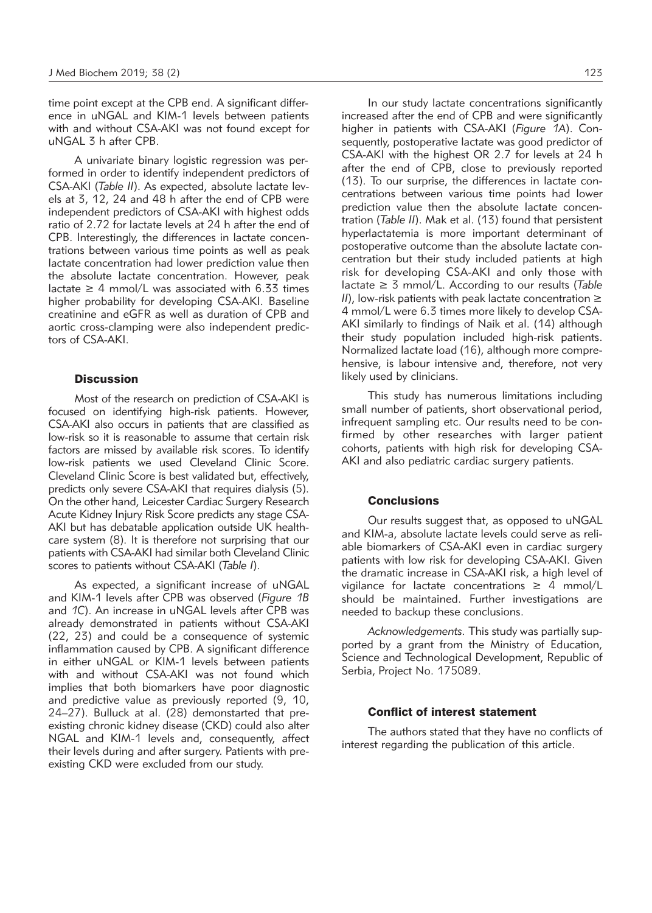time point except at the CPB end. A significant difference in uNGAL and KIM-1 levels between patients with and without CSA-AKI was not found except for uNGAL 3 h after CPB.

A univariate binary logistic regression was performed in order to identify independent predictors of CSA-AKI (*Table II*). As expected, absolute lactate levels at 3, 12, 24 and 48 h after the end of CPB were independent predictors of CSA-AKI with highest odds ratio of 2.72 for lactate levels at 24 h after the end of CPB. Interestingly, the differences in lactate concentrations between various time points as well as peak lactate concentration had lower prediction value then the absolute lactate concentration. However, peak lactate  $\geq$  4 mmol/L was associated with 6.33 times higher probability for developing CSA-AKI. Baseline creatinine and eGFR as well as duration of CPB and aortic cross-clamping were also independent predictors of CSA-AKI.

### **Discussion**

Most of the research on prediction of CSA-AKI is focused on identifying high-risk patients. However, CSA-AKI also occurs in patients that are classified as low-risk so it is reasonable to assume that certain risk factors are missed by available risk scores. To identify low-risk patients we used Cleveland Clinic Score. Cleveland Clinic Score is best validated but, effectively, predicts only severe CSA-AKI that requires dialysis (5). On the other hand, Leicester Cardiac Surgery Research Acute Kidney Injury Risk Score predicts any stage CSA-AKI but has debatable application outside UK healthcare system (8). It is therefore not surprising that our patients with CSA-AKI had similar both Cleveland Clinic scores to patients without CSA-AKI (*Table I*).

As expected, a significant increase of uNGAL and KIM-1 levels after CPB was observed (*Figure 1B* and *1C*). An increase in uNGAL levels after CPB was already demonstrated in patients without CSA-AKI (22, 23) and could be a consequence of systemic inflammation caused by CPB. A significant difference in either uNGAL or KIM-1 levels between patients with and without CSA-AKI was not found which implies that both biomarkers have poor diagnostic and predictive value as previously reported (9, 10, 24–27). Bulluck at al. (28) demonstarted that preexisting chronic kidney disease (CKD) could also alter NGAL and KIM-1 levels and, consequently, affect their levels during and after surgery. Patients with preexisting CKD were excluded from our study.

In our study lactate concentrations significantly increased after the end of CPB and were significantly higher in patients with CSA-AKI (Figure 1A). Consequently, postoperative lactate was good predictor of CSA-AKI with the highest OR 2.7 for levels at 24 h after the end of CPB, close to previously reported (13). To our surprise, the differences in lactate concentrations between various time points had lower prediction value then the absolute lactate concentration (*Table II*). Mak et al. (13) found that persistent hyperlactatemia is more important determinant of postoperative outcome than the absolute lactate concentration but their study included patients at high risk for developing CSA-AKI and only those with lactate ≥ 3 mmol/L. According to our results (*Table II*), low-risk patients with peak lactate concentration ≥ 4 mmol/L were 6.3 times more likely to develop CSA-AKI similarly to findings of Naik et al. (14) although their study population included high-risk patients. Normalized lactate load (16), although more comprehensive, is labour intensive and, therefore, not very likely used by clinicians.

This study has numerous limitations including small number of patients, short observational period, infrequent sampling etc. Our results need to be confirmed by other researches with larger patient cohorts, patients with high risk for developing CSA-AKI and also pediatric cardiac surgery patients.

## **Conclusions**

Our results suggest that, as opposed to uNGAL and KIM-a, absolute lactate levels could serve as reliable biomarkers of CSA-AKI even in cardiac surgery patients with low risk for developing CSA-AKI. Given the dramatic increase in CSA-AKI risk, a high level of vigilance for lactate concentrations  $\geq 4$  mmol/L should be maintained. Further investigations are needed to backup these conclusions.

*Acknowledgements.* This study was partially supported by a grant from the Ministry of Education, Science and Technological Development, Republic of Serbia, Project No. 175089.

#### Conflict of interest statement

The authors stated that they have no conflicts of interest regarding the publication of this article.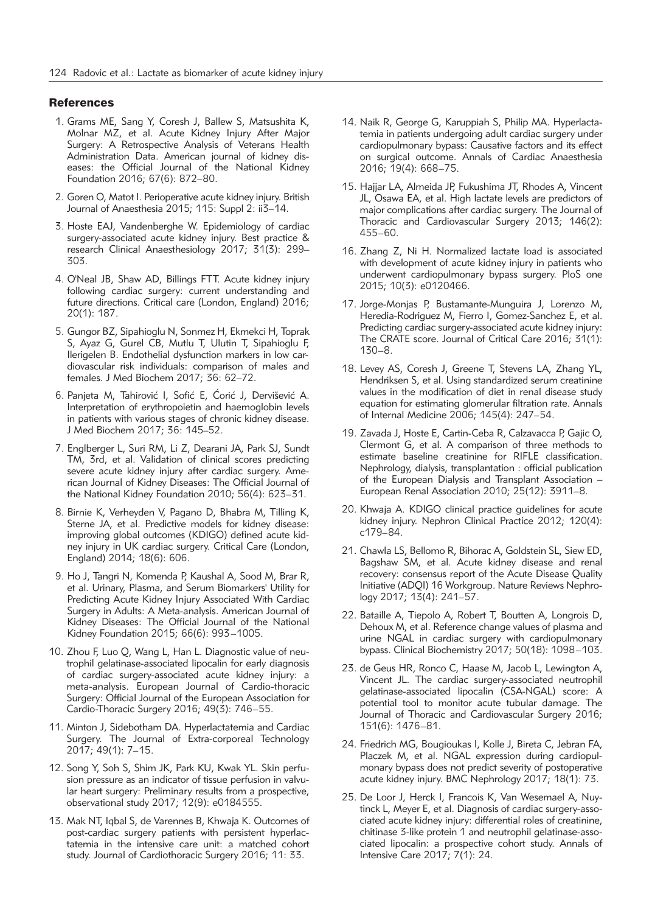## **References**

- 1. Grams ME, Sang Y, Coresh J, Ballew S, Matsushita K, Molnar MZ, et al. Acute Kidney Injury After Major Surgery: A Retrospective Analysis of Veterans Health Administration Data. American journal of kidney diseases: the Official Journal of the National Kidney Foundation 2016; 67(6): 872–80.
- 2. Goren O, Matot I. Perioperative acute kidney injury. British Journal of Anaesthesia 2015; 115: Suppl 2: ii3–14.
- 3. Hoste EAJ, Vandenberghe W. Epidemiology of cardiac surgery-associated acute kidney injury. Best practice & research Clinical Anaesthesiology 2017; 31(3): 299– 303.
- 4. O'Neal JB, Shaw AD, Billings FTT. Acute kidney injury following cardiac surgery: current understanding and future directions. Critical care (London, England) 2016; 20(1): 187.
- 5. Gungor BZ, Sipahioglu N, Sonmez H, Ekmekci H, Toprak S, Ayaz G, Gurel CB, Mutlu T, Ulutin T, Sipahioglu F, Ilerigelen B. Endothelial dysfunction markers in low cardiovascular risk individuals: comparison of males and females. J Med Biochem 2017; 36: 62–72.
- 6. Panjeta M, Tahirović I, Sofić E, Ćorić J, Dervišević A. Interpretation of erythropoietin and haemoglobin levels in patients with various stages of chronic kidney disease. J Med Biochem 2017; 36: 145–52.
- 7. Englberger L, Suri RM, Li Z, Dearani JA, Park SJ, Sundt TM, 3rd, et al. Validation of clinical scores predicting severe acute kidney injury after cardiac surgery. American Journal of Kidney Diseases: The Official Journal of the National Kidney Foundation 2010; 56(4): 623–31.
- 8. Birnie K, Verheyden V, Pagano D, Bhabra M, Tilling K, Sterne JA, et al. Predictive models for kidney disease: improving global outcomes (KDIGO) defined acute kidney injury in UK cardiac surgery. Critical Care (London, England) 2014; 18(6): 606.
- 9. Ho J, Tangri N, Komenda P, Kaushal A, Sood M, Brar R, et al. Urinary, Plasma, and Serum Biomarkers' Utility for Predicting Acute Kidney Injury Associated With Cardiac Surgery in Adults: A Meta-analysis. American Journal of Kidney Diseases: The Official Journal of the National Kidney Foundation 2015; 66(6): 993–1005.
- 10. Zhou F, Luo Q, Wang L, Han L. Diagnostic value of neutrophil gelatinase-associated lipocalin for early diagnosis of cardiac surgery-associated acute kidney injury: a meta-analysis. European Journal of Cardio-thoracic Surgery: Official Journal of the European Association for Cardio-Thoracic Surgery 2016; 49(3): 746–55.
- 11. Minton J, Sidebotham DA. Hyperlactatemia and Cardiac Surgery. The Journal of Extra-corporeal Technology 2017; 49(1): 7–15.
- 12. Song Y, Soh S, Shim JK, Park KU, Kwak YL. Skin perfusion pressure as an indicator of tissue perfusion in valvular heart surgery: Preliminary results from a prospective, observational study 2017; 12(9): e0184555.
- 13. Mak NT, Iqbal S, de Varennes B, Khwaja K. Outcomes of post-cardiac surgery patients with persistent hyperlactatemia in the intensive care unit: a matched cohort study. Journal of Cardiothoracic Surgery 2016; 11: 33.
- 14. Naik R, George G, Karuppiah S, Philip MA. Hyperlactatemia in patients undergoing adult cardiac surgery under cardiopulmonary bypass: Causative factors and its effect on surgical outcome. Annals of Cardiac Anaesthesia 2016; 19(4): 668–75.
- 15. Hajjar LA, Almeida JP, Fukushima JT, Rhodes A, Vincent JL, Osawa EA, et al. High lactate levels are predictors of major complications after cardiac surgery. The Journal of Thoracic and Cardiovascular Surgery 2013; 146(2): 455–60.
- 16. Zhang Z, Ni H. Normalized lactate load is associated with development of acute kidney injury in patients who underwent cardiopulmonary bypass surgery. PloS one 2015; 10(3): e0120466.
- 17. Jorge-Monjas P, Bustamante-Munguira J, Lorenzo M, Heredia-Rodriguez M, Fierro I, Gomez-Sanchez E, et al. Predicting cardiac surgery-associated acute kidney injury: The CRATE score. Journal of Critical Care 2016; 31(1): 130–8.
- 18. Levey AS, Coresh J, Greene T, Stevens LA, Zhang YL, Hendriksen S, et al. Using standardized serum creatinine values in the modification of diet in renal disease study equation for estimating glomerular filtration rate. Annals of Internal Medicine 2006; 145(4): 247–54.
- 19. Zavada J, Hoste E, Cartin-Ceba R, Calzavacca P, Gajic O, Clermont G, et al. A comparison of three methods to estimate baseline creatinine for RIFLE classification. Nephrology, dialysis, transplantation : official publication of the European Dialysis and Transplant Association – European Renal Association 2010; 25(12): 3911–8.
- 20. Khwaja A. KDIGO clinical practice guidelines for acute kidney injury. Nephron Clinical Practice 2012; 120(4): c179–84.
- 21. Chawla LS, Bellomo R, Bihorac A, Goldstein SL, Siew ED, Bagshaw SM, et al. Acute kidney disease and renal recovery: consensus report of the Acute Disease Quality Initiative (ADQI) 16 Workgroup. Nature Reviews Nephrology 2017; 13(4): 241–57.
- 22. Bataille A, Tiepolo A, Robert T, Boutten A, Longrois D, Dehoux M, et al. Reference change values of plasma and urine NGAL in cardiac surgery with cardiopulmonary bypass. Clinical Biochemistry 2017; 50(18): 1098–103.
- 23. de Geus HR, Ronco C, Haase M, Jacob L, Lewington A, Vincent JL. The cardiac surgery-associated neutrophil gelatinase-associated lipocalin (CSA-NGAL) score: A potential tool to monitor acute tubular damage. The Journal of Thoracic and Cardiovascular Surgery 2016; 151(6): 1476–81.
- 24. Friedrich MG, Bougioukas I, Kolle J, Bireta C, Jebran FA, Placzek M, et al. NGAL expression during cardiopulmonary bypass does not predict severity of postoperative acute kidney injury. BMC Nephrology 2017; 18(1): 73.
- 25. De Loor J, Herck I, Francois K, Van Wesemael A, Nuytinck L, Meyer E, et al. Diagnosis of cardiac surgery-associated acute kidney injury: differential roles of creatinine, chitinase 3-like protein 1 and neutrophil gelatinase-associated lipocalin: a prospective cohort study. Annals of Intensive Care 2017; 7(1): 24.